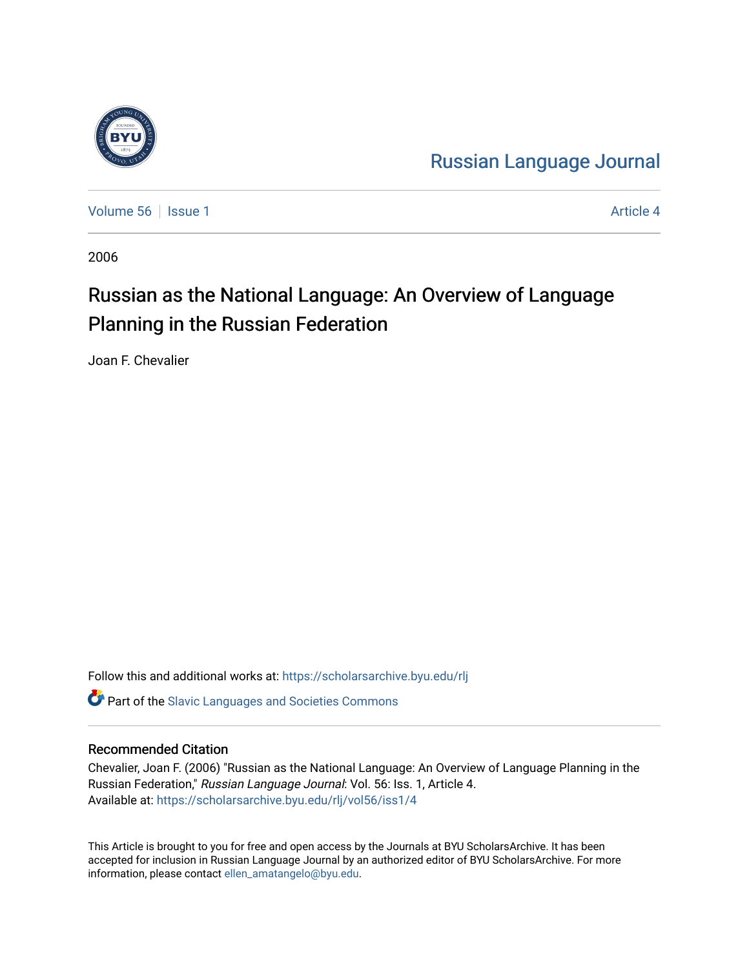

[Russian Language Journal](https://scholarsarchive.byu.edu/rlj) 

[Volume 56](https://scholarsarchive.byu.edu/rlj/vol56) September 1 [Article 4](https://scholarsarchive.byu.edu/rlj/vol56/iss1/4) Article 4 Article 4 Article 4 Article 4 Article 4

2006

# Russian as the National Language: An Overview of Language Planning in the Russian Federation

Joan F. Chevalier

Follow this and additional works at: [https://scholarsarchive.byu.edu/rlj](https://scholarsarchive.byu.edu/rlj?utm_source=scholarsarchive.byu.edu%2Frlj%2Fvol56%2Fiss1%2F4&utm_medium=PDF&utm_campaign=PDFCoverPages)

**C** Part of the Slavic Languages and Societies Commons

#### Recommended Citation

Chevalier, Joan F. (2006) "Russian as the National Language: An Overview of Language Planning in the Russian Federation," Russian Language Journal: Vol. 56: Iss. 1, Article 4. Available at: [https://scholarsarchive.byu.edu/rlj/vol56/iss1/4](https://scholarsarchive.byu.edu/rlj/vol56/iss1/4?utm_source=scholarsarchive.byu.edu%2Frlj%2Fvol56%2Fiss1%2F4&utm_medium=PDF&utm_campaign=PDFCoverPages) 

This Article is brought to you for free and open access by the Journals at BYU ScholarsArchive. It has been accepted for inclusion in Russian Language Journal by an authorized editor of BYU ScholarsArchive. For more information, please contact [ellen\\_amatangelo@byu.edu.](mailto:ellen_amatangelo@byu.edu)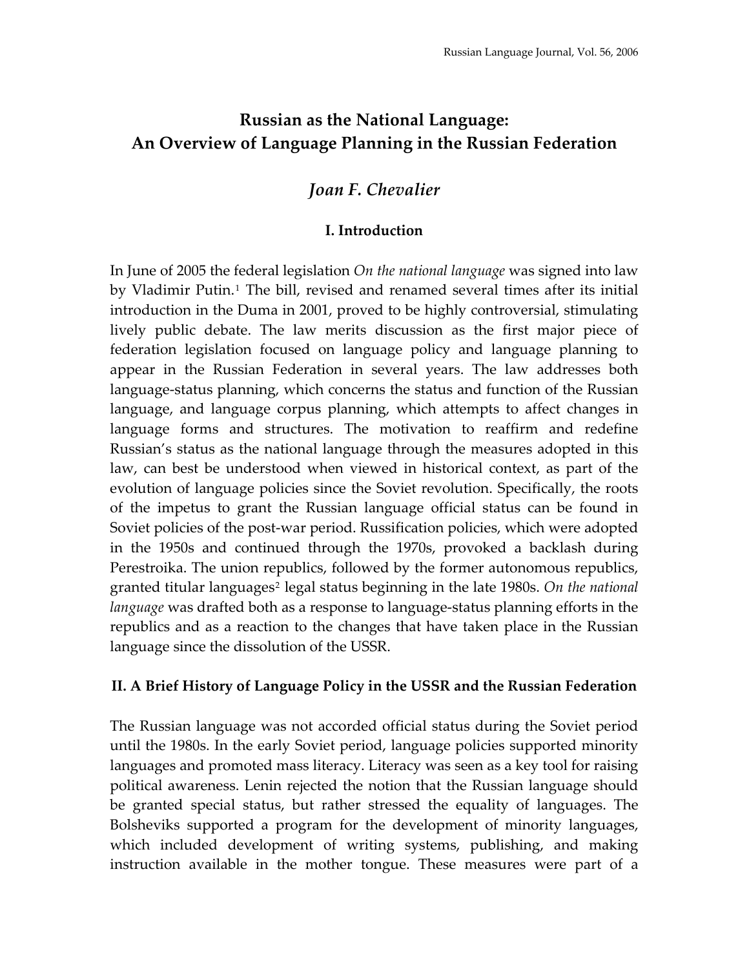# **Russian as the National Language: An Overview of Language Planning in the Russian Federation**

## *Joan F. Chevalier*

### **I. Introduction**

In June of 2005 the federal legislation *On the national language* was signed into law by Vladimir Putin.<sup>[1](#page-12-0)</sup> The bill, revised and renamed several times after its initial introduction in the Duma in 2001, proved to be highly controversial, stimulating lively public debate. The law merits discussion as the first major piece of federation legislation focused on language policy and language planning to appear in the Russian Federation in several years. The law addresses both language‐status planning, which concerns the status and function of the Russian language, and language corpus planning, which attempts to affect changes in language forms and structures. The motivation to reaffirm and redefine Russian's status as the national language through the measures adopted in this law, can best be understood when viewed in historical context, as part of the evolution of language policies since the Soviet revolution. Specifically, the roots of the impetus to grant the Russian language official status can be found in Soviet policies of the post-war period. Russification policies, which were adopted in the 1950s and continued through the 1970s, provoked a backlash during Perestroika. The union republics, followed by the former autonomous republics, granted titular languages<sup>[2](#page-12-1)</sup> legal status beginning in the late 1980s. On the national *language* was drafted both as a response to language‐status planning efforts in the republics and as a reaction to the changes that have taken place in the Russian language since the dissolution of the USSR.

#### **II. A Brief History of Language Policy in the USSR and the Russian Federation**

The Russian language was not accorded official status during the Soviet period until the 1980s. In the early Soviet period, language policies supported minority languages and promoted mass literacy. Literacy was seen as a key tool for raising political awareness. Lenin rejected the notion that the Russian language should be granted special status, but rather stressed the equality of languages. The Bolsheviks supported a program for the development of minority languages, which included development of writing systems, publishing, and making instruction available in the mother tongue. These measures were part of a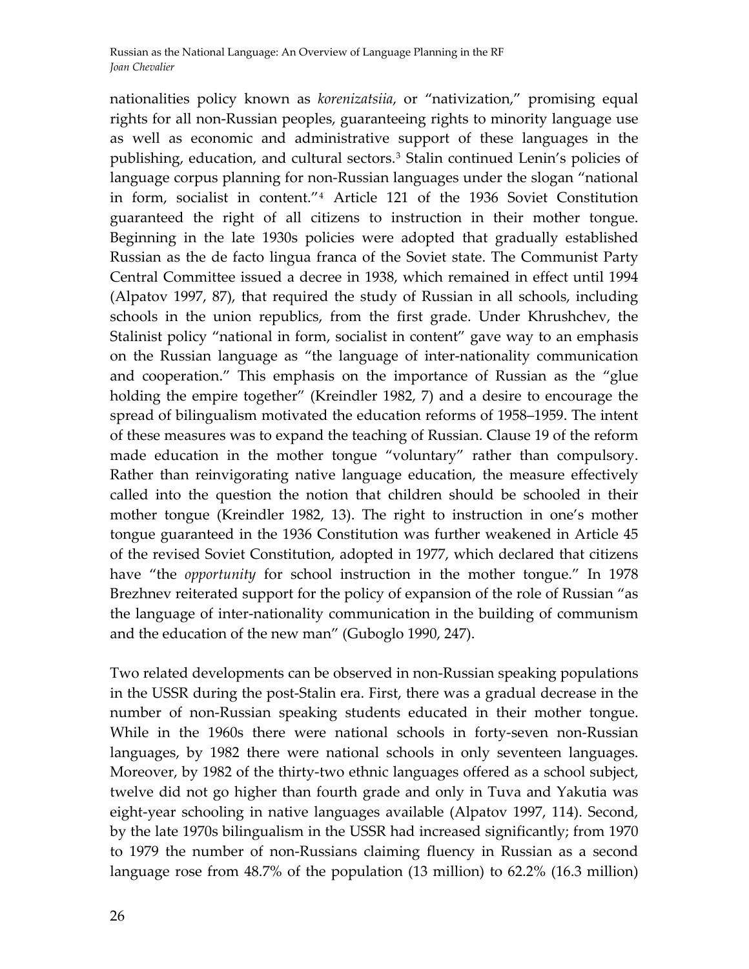nationalities policy known as *korenizatsiia*, or "nativization," promising equal rights for all non‐Russian peoples, guaranteeing rights to minority language use as well as economic and administrative support of these languages in the publishing, education, and cultural sectors.<sup>[3](#page-12-1)</sup> Stalin continued Lenin's policies of language corpus planning for non‐Russian languages under the slogan "national in form, socialist in content."[4](#page-12-1) Article 121 of the 1936 Soviet Constitution guaranteed the right of all citizens to instruction in their mother tongue. Beginning in the late 1930s policies were adopted that gradually established Russian as the de facto lingua franca of the Soviet state. The Communist Party Central Committee issued a decree in 1938, which remained in effect until 1994 (Alpatov 1997, 87), that required the study of Russian in all schools, including schools in the union republics, from the first grade. Under Khrushchev, the Stalinist policy "national in form, socialist in content" gave way to an emphasis on the Russian language as "the language of inter‐nationality communication and cooperation." This emphasis on the importance of Russian as the "glue holding the empire together" (Kreindler 1982, 7) and a desire to encourage the spread of bilingualism motivated the education reforms of 1958–1959. The intent of these measures was to expand the teaching of Russian. Clause 19 of the reform made education in the mother tongue "voluntary" rather than compulsory. Rather than reinvigorating native language education, the measure effectively called into the question the notion that children should be schooled in their mother tongue (Kreindler 1982, 13). The right to instruction in one's mother tongue guaranteed in the 1936 Constitution was further weakened in Article 45 of the revised Soviet Constitution, adopted in 1977, which declared that citizens have "the *opportunity* for school instruction in the mother tongue." In 1978 Brezhnev reiterated support for the policy of expansion of the role of Russian "as the language of inter-nationality communication in the building of communism and the education of the new man" (Guboglo 1990, 247).

Two related developments can be observed in non‐Russian speaking populations in the USSR during the post‐Stalin era. First, there was a gradual decrease in the number of non‐Russian speaking students educated in their mother tongue. While in the 1960s there were national schools in forty-seven non-Russian languages, by 1982 there were national schools in only seventeen languages. Moreover, by 1982 of the thirty-two ethnic languages offered as a school subject, twelve did not go higher than fourth grade and only in Tuva and Yakutia was eight‐year schooling in native languages available (Alpatov 1997, 114). Second, by the late 1970s bilingualism in the USSR had increased significantly; from 1970 to 1979 the number of non‐Russians claiming fluency in Russian as a second language rose from 48.7% of the population (13 million) to 62.2% (16.3 million)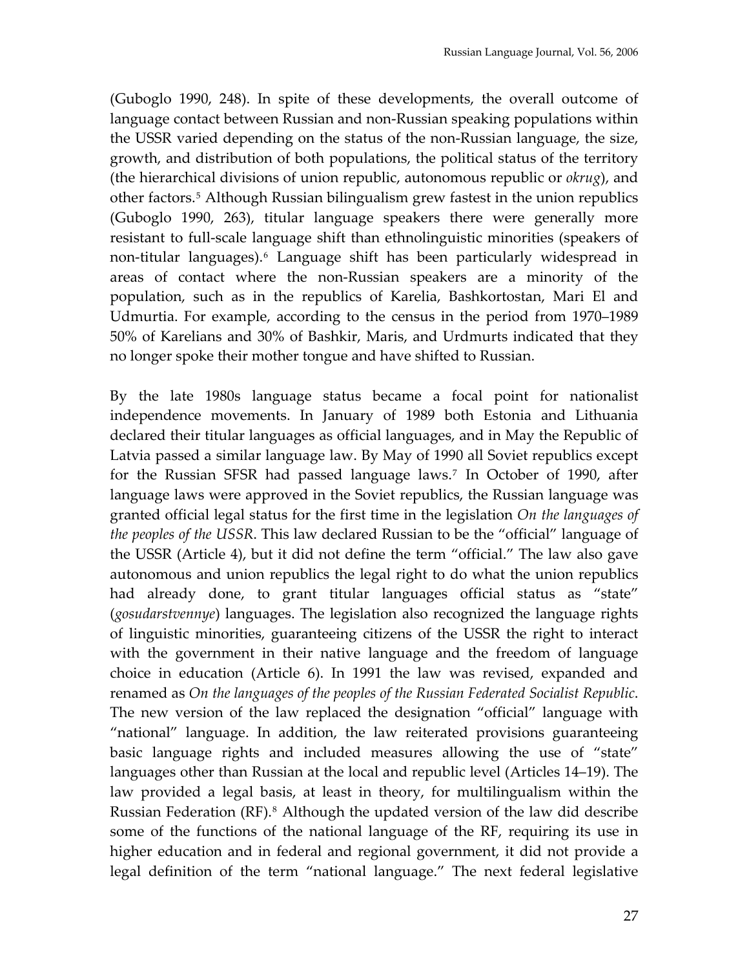(Guboglo 1990, 248). In spite of these developments, the overall outcome of language contact between Russian and non‐Russian speaking populations within the USSR varied depending on the status of the non‐Russian language, the size, growth, and distribution of both populations, the political status of the territory (the hierarchical divisions of union republic, autonomous republic or *okrug*), and other factors.[5](#page-12-1) Although Russian bilingualism grew fastest in the union republics (Guboglo 1990, 263), titular language speakers there were generally more resistant to full‐scale language shift than ethnolinguistic minorities (speakers of non-titular languages).<sup>[6](#page-12-1)</sup> Language shift has been particularly widespread in areas of contact where the non‐Russian speakers are a minority of the population, such as in the republics of Karelia, Bashkortostan, Mari El and Udmurtia. For example, according to the census in the period from 1970–1989 50% of Karelians and 30% of Bashkir, Maris, and Urdmurts indicated that they no longer spoke their mother tongue and have shifted to Russian.

By the late 1980s language status became a focal point for nationalist independence movements. In January of 1989 both Estonia and Lithuania declared their titular languages as official languages, and in May the Republic of Latvia passed a similar language law. By May of 1990 all Soviet republics except for the Russian SFSR had passed language laws.[7](#page-12-1) In October of 1990, after language laws were approved in the Soviet republics, the Russian language was granted official legal status for the first time in the legislation *On the languages of the peoples of the USSR*. This law declared Russian to be the "official" language of the USSR (Article 4), but it did not define the term "official." The law also gave autonomous and union republics the legal right to do what the union republics had already done, to grant titular languages official status as "state" (*gosudarstvennye*) languages. The legislation also recognized the language rights of linguistic minorities, guaranteeing citizens of the USSR the right to interact with the government in their native language and the freedom of language choice in education (Article 6). In 1991 the law was revised, expanded and renamed as *On the languages of the peoples of the Russian Federated Socialist Republic*. The new version of the law replaced the designation "official" language with "national" language. In addition, the law reiterated provisions guaranteeing basic language rights and included measures allowing the use of "state" languages other than Russian at the local and republic level (Articles 14–19). The law provided a legal basis, at least in theory, for multilingualism within the Russian Federation (RF).<sup>[8](#page-12-1)</sup> Although the updated version of the law did describe some of the functions of the national language of the RF, requiring its use in higher education and in federal and regional government, it did not provide a legal definition of the term "national language." The next federal legislative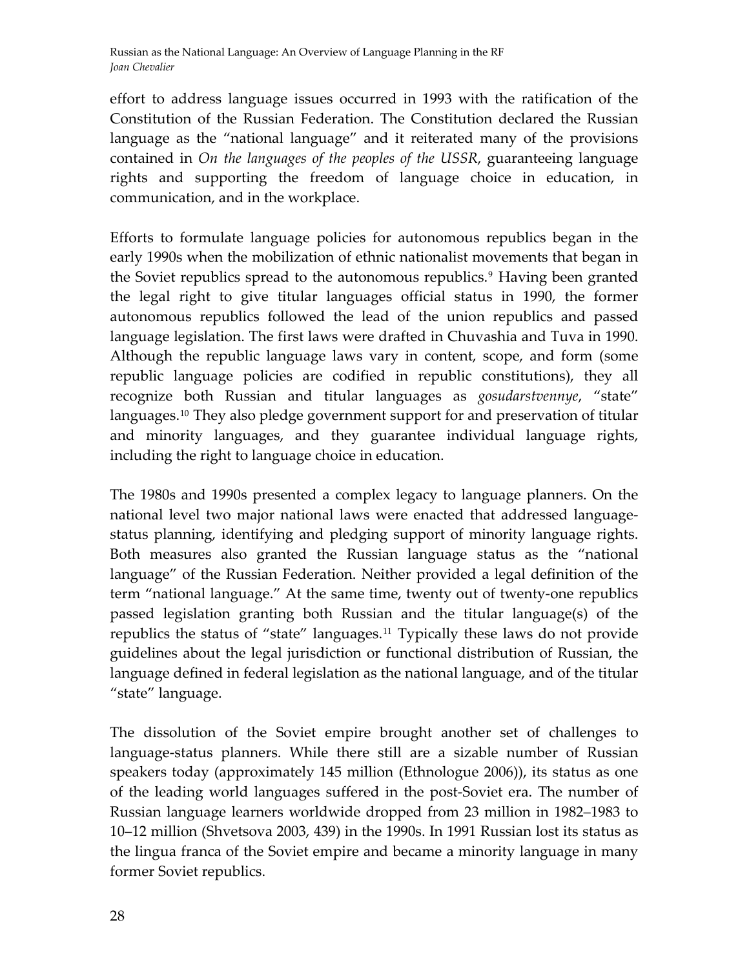effort to address language issues occurred in 1993 with the ratification of the Constitution of the Russian Federation. The Constitution declared the Russian language as the "national language" and it reiterated many of the provisions contained in *On the languages of the peoples of the USSR*, guaranteeing language rights and supporting the freedom of language choice in education, in communication, and in the workplace.

Efforts to formulate language policies for autonomous republics began in the early 1990s when the mobilization of ethnic nationalist movements that began in the Soviet republics spread to the autonomous republics.<sup>[9](#page-12-1)</sup> Having been granted the legal right to give titular languages official status in 1990, the former autonomous republics followed the lead of the union republics and passed language legislation. The first laws were drafted in Chuvashia and Tuva in 1990. Although the republic language laws vary in content, scope, and form (some republic language policies are codified in republic constitutions), they all recognize both Russian and titular languages as *gosudarstvennye*, "state" languages.<sup>[10](#page-12-1)</sup> They also pledge government support for and preservation of titular and minority languages, and they guarantee individual language rights, including the right to language choice in education.

The 1980s and 1990s presented a complex legacy to language planners. On the national level two major national laws were enacted that addressed language‐ status planning, identifying and pledging support of minority language rights. Both measures also granted the Russian language status as the "national language" of the Russian Federation. Neither provided a legal definition of the term "national language." At the same time, twenty out of twenty-one republics passed legislation granting both Russian and the titular language(s) of the republics the status of "state" languages.[11](#page-12-1) Typically these laws do not provide guidelines about the legal jurisdiction or functional distribution of Russian, the language defined in federal legislation as the national language, and of the titular "state" language.

The dissolution of the Soviet empire brought another set of challenges to language‐status planners. While there still are a sizable number of Russian speakers today (approximately 145 million (Ethnologue 2006)), its status as one of the leading world languages suffered in the post‐Soviet era. The number of Russian language learners worldwide dropped from 23 million in 1982–1983 to 10–12 million (Shvetsova 2003, 439) in the 1990s. In 1991 Russian lost its status as the lingua franca of the Soviet empire and became a minority language in many former Soviet republics.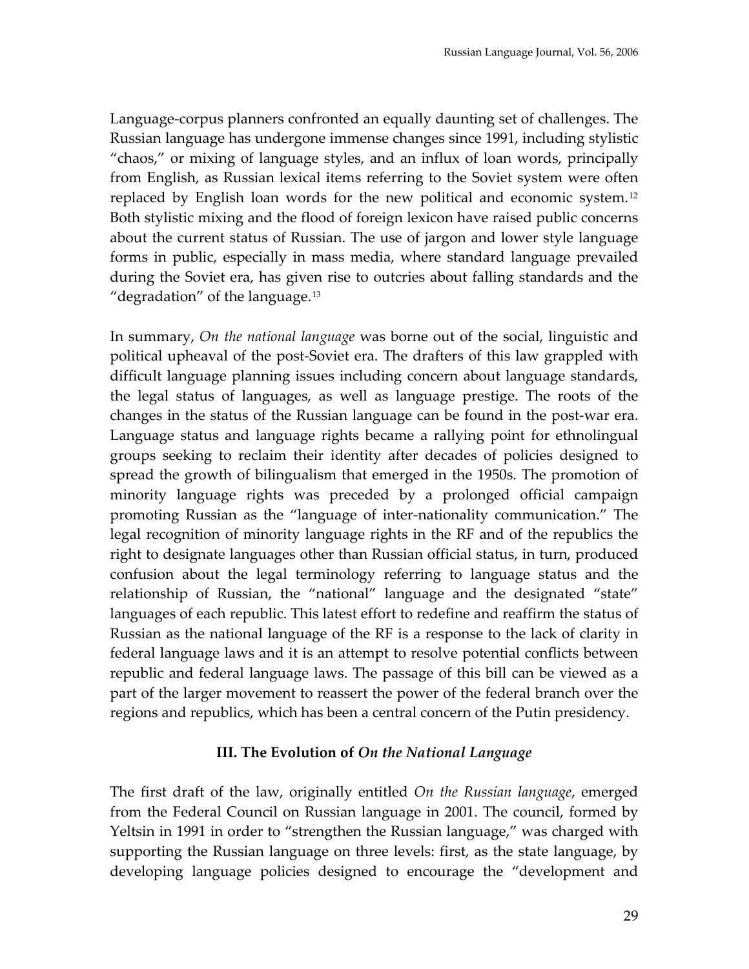Language‐corpus planners confronted an equally daunting set of challenges. The Russian language has undergone immense changes since 1991, including stylistic "chaos," or mixing of language styles, and an influx of loan words, principally from English, as Russian lexical items referring to the Soviet system were often replaced by English loan words for the new political and economic system.<sup>[12](#page-12-1)</sup> Both stylistic mixing and the flood of foreign lexicon have raised public concerns about the current status of Russian. The use of jargon and lower style language forms in public, especially in mass media, where standard language prevailed during the Soviet era, has given rise to outcries about falling standards and the "degradation" of the language.<sup>[13](#page-12-1)</sup>

In summary, *On the national language* was borne out of the social, linguistic and political upheaval of the post‐Soviet era. The drafters of this law grappled with difficult language planning issues including concern about language standards, the legal status of languages, as well as language prestige. The roots of the changes in the status of the Russian language can be found in the post‐war era. Language status and language rights became a rallying point for ethnolingual groups seeking to reclaim their identity after decades of policies designed to spread the growth of bilingualism that emerged in the 1950s. The promotion of minority language rights was preceded by a prolonged official campaign promoting Russian as the "language of inter‐nationality communication." The legal recognition of minority language rights in the RF and of the republics the right to designate languages other than Russian official status, in turn, produced confusion about the legal terminology referring to language status and the relationship of Russian, the "national" language and the designated "state" languages of each republic. This latest effort to redefine and reaffirm the status of Russian as the national language of the RF is a response to the lack of clarity in federal language laws and it is an attempt to resolve potential conflicts between republic and federal language laws. The passage of this bill can be viewed as a part of the larger movement to reassert the power of the federal branch over the regions and republics, which has been a central concern of the Putin presidency.

#### **III. The Evolution of** *On the National Language*

The first draft of the law, originally entitled *On the Russian language*, emerged from the Federal Council on Russian language in 2001. The council, formed by Yeltsin in 1991 in order to "strengthen the Russian language," was charged with supporting the Russian language on three levels: first, as the state language, by developing language policies designed to encourage the "development and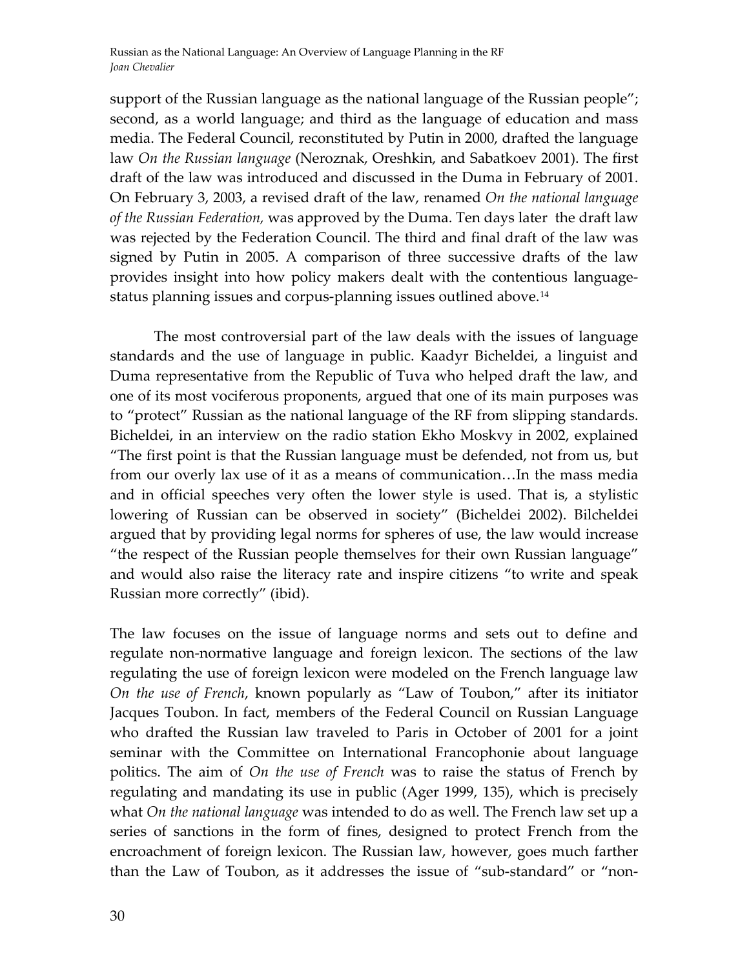Russian as the National Language: An Overview of Language Planning in the RF *Joan Chevalier*

support of the Russian language as the national language of the Russian people"; second, as a world language; and third as the language of education and mass media. The Federal Council, reconstituted by Putin in 2000, drafted the language law *On the Russian language* (Neroznak, Oreshkin, and Sabatkoev 2001). The first draft of the law was introduced and discussed in the Duma in February of 2001. On February 3, 2003, a revised draft of the law, renamed *On the national language of the Russian Federation,* was approved by the Duma. Ten days later the draft law was rejected by the Federation Council. The third and final draft of the law was signed by Putin in 2005. A comparison of three successive drafts of the law provides insight into how policy makers dealt with the contentious language‐ status planning issues and corpus‐planning issues outlined above.[14](#page-12-1)

The most controversial part of the law deals with the issues of language standards and the use of language in public. Kaadyr Bicheldei, a linguist and Duma representative from the Republic of Tuva who helped draft the law, and one of its most vociferous proponents, argued that one of its main purposes was to "protect" Russian as the national language of the RF from slipping standards. Bicheldei, in an interview on the radio station Ekho Moskvy in 2002, explained "The first point is that the Russian language must be defended, not from us, but from our overly lax use of it as a means of communication…In the mass media and in official speeches very often the lower style is used. That is, a stylistic lowering of Russian can be observed in society" (Bicheldei 2002). Bilcheldei argued that by providing legal norms for spheres of use, the law would increase "the respect of the Russian people themselves for their own Russian language" and would also raise the literacy rate and inspire citizens "to write and speak Russian more correctly" (ibid).

The law focuses on the issue of language norms and sets out to define and regulate non‐normative language and foreign lexicon. The sections of the law regulating the use of foreign lexicon were modeled on the French language law *On the use of French*, known popularly as "Law of Toubon," after its initiator Jacques Toubon. In fact, members of the Federal Council on Russian Language who drafted the Russian law traveled to Paris in October of 2001 for a joint seminar with the Committee on International Francophonie about language politics. The aim of *On the use of French* was to raise the status of French by regulating and mandating its use in public (Ager 1999, 135), which is precisely what *On the national language* was intended to do as well. The French law set up a series of sanctions in the form of fines, designed to protect French from the encroachment of foreign lexicon. The Russian law, however, goes much farther than the Law of Toubon, as it addresses the issue of "sub‐standard" or "non‐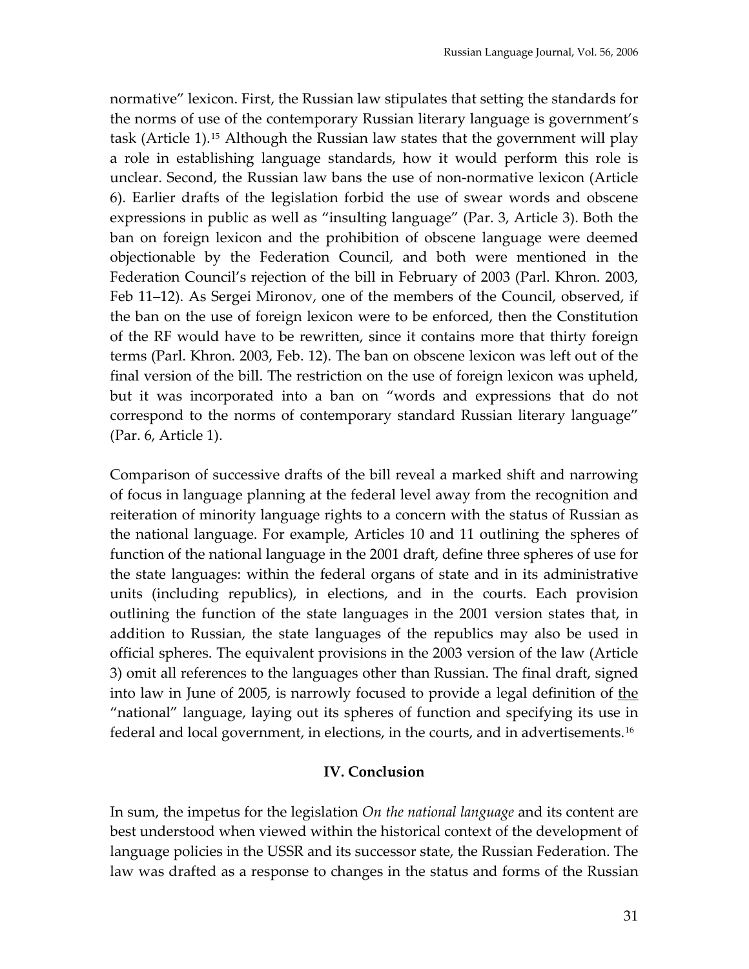normative" lexicon. First, the Russian law stipulates that setting the standards for the norms of use of the contemporary Russian literary language is government's task (Article 1).[15](#page-12-1) Although the Russian law states that the government will play a role in establishing language standards, how it would perform this role is unclear. Second, the Russian law bans the use of non‐normative lexicon (Article 6). Earlier drafts of the legislation forbid the use of swear words and obscene expressions in public as well as "insulting language" (Par. 3, Article 3). Both the ban on foreign lexicon and the prohibition of obscene language were deemed objectionable by the Federation Council, and both were mentioned in the Federation Council's rejection of the bill in February of 2003 (Parl. Khron. 2003, Feb 11–12). As Sergei Mironov, one of the members of the Council, observed, if the ban on the use of foreign lexicon were to be enforced, then the Constitution of the RF would have to be rewritten, since it contains more that thirty foreign terms (Parl. Khron. 2003, Feb. 12). The ban on obscene lexicon was left out of the final version of the bill. The restriction on the use of foreign lexicon was upheld, but it was incorporated into a ban on "words and expressions that do not correspond to the norms of contemporary standard Russian literary language" (Par. 6, Article 1).

Comparison of successive drafts of the bill reveal a marked shift and narrowing of focus in language planning at the federal level away from the recognition and reiteration of minority language rights to a concern with the status of Russian as the national language. For example, Articles 10 and 11 outlining the spheres of function of the national language in the 2001 draft, define three spheres of use for the state languages: within the federal organs of state and in its administrative units (including republics), in elections, and in the courts. Each provision outlining the function of the state languages in the 2001 version states that, in addition to Russian, the state languages of the republics may also be used in official spheres. The equivalent provisions in the 2003 version of the law (Article 3) omit all references to the languages other than Russian. The final draft, signed into law in June of 2005, is narrowly focused to provide a legal definition of the "national" language, laying out its spheres of function and specifying its use in federal and local government, in elections, in the courts, and in advertisements.[16](#page-12-1)

#### **IV. Conclusion**

In sum, the impetus for the legislation *On the national language* and its content are best understood when viewed within the historical context of the development of language policies in the USSR and its successor state, the Russian Federation. The law was drafted as a response to changes in the status and forms of the Russian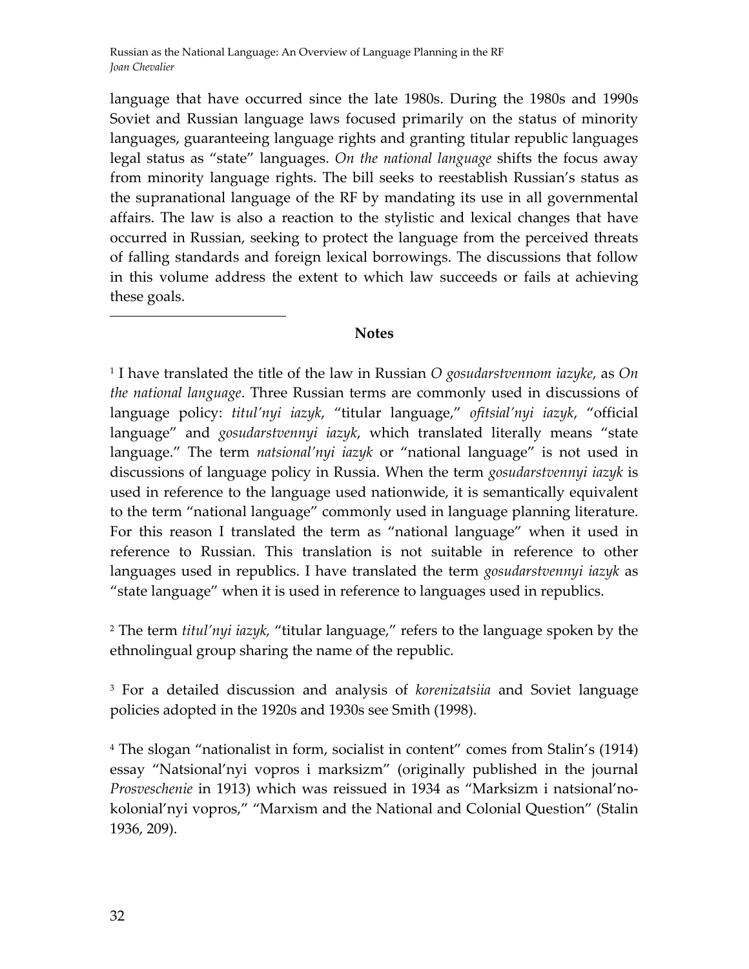language that have occurred since the late 1980s. During the 1980s and 1990s Soviet and Russian language laws focused primarily on the status of minority languages, guaranteeing language rights and granting titular republic languages legal status as "state" languages. *On the national language* shifts the focus away from minority language rights. The bill seeks to reestablish Russian's status as the supranational language of the RF by mandating its use in all governmental affairs. The law is also a reaction to the stylistic and lexical changes that have occurred in Russian, seeking to protect the language from the perceived threats of falling standards and foreign lexical borrowings. The discussions that follow in this volume address the extent to which law succeeds or fails at achieving these goals.

## **Notes**

<sup>1</sup> I have translated the title of the law in Russian *O gosudarstvennom iazyke*, as *On the national language*. Three Russian terms are commonly used in discussions of language policy: *titul'nyi iazyk*, "titular language," *ofitsial'nyi iazyk*, "official language" and *gosudarstvennyi iazyk*, which translated literally means "state language." The term *natsional'nyi iazyk* or "national language" is not used in discussions of language policy in Russia. When the term *gosudarstvennyi iazyk* is used in reference to the language used nationwide, it is semantically equivalent to the term "national language" commonly used in language planning literature. For this reason I translated the term as "national language" when it used in reference to Russian. This translation is not suitable in reference to other languages used in republics. I have translated the term *gosudarstvennyi iazyk* as "state language" when it is used in reference to languages used in republics.

<sup>2</sup> The term *titul'nyi iazyk,* "titular language," refers to the language spoken by the ethnolingual group sharing the name of the republic.

<sup>3</sup> For a detailed discussion and analysis of *korenizatsiia* and Soviet language policies adopted in the 1920s and 1930s see Smith (1998).

<sup>4</sup> The slogan "nationalist in form, socialist in content" comes from Stalin's (1914) essay "Natsional'nyi vopros i marksizm" (originally published in the journal *Prosvesсhenie* in 1913) which was reissued in 1934 as "Marksizm i natsional'no‐ kolonial'nyi vopros," "Marxism and the National and Colonial Question" (Stalin 1936, 209).

 $\overline{a}$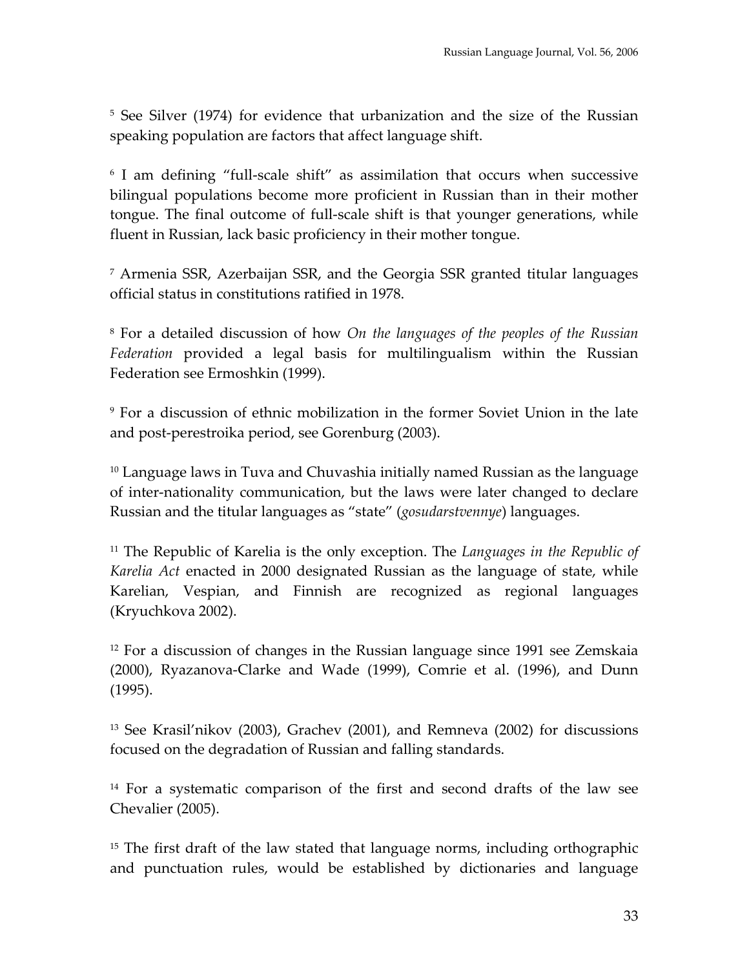<sup>5</sup> See Silver (1974) for evidence that urbanization and the size of the Russian speaking population are factors that affect language shift.

<sup>6</sup> I am defining "full‐scale shift" as assimilation that occurs when successive bilingual populations become more proficient in Russian than in their mother tongue. The final outcome of full‐scale shift is that younger generations, while fluent in Russian, lack basic proficiency in their mother tongue.

<sup>7</sup> Armenia SSR, Azerbaijan SSR, and the Georgia SSR granted titular languages official status in constitutions ratified in 1978.

<sup>8</sup> For a detailed discussion of how *On the languages of the peoples of the Russian Federation* provided a legal basis for multilingualism within the Russian Federation see Ermoshkin (1999).

<sup>9</sup> For a discussion of ethnic mobilization in the former Soviet Union in the late and post‐perestroika period, see Gorenburg (2003).

 $10$  Language laws in Tuva and Chuvashia initially named Russian as the language of inter‐nationality communication, but the laws were later changed to declare Russian and the titular languages as "state" (*gosudarstvennye*) languages.

<sup>11</sup> The Republic of Karelia is the only exception. The *Languages in the Republic of Karelia Act* enacted in 2000 designated Russian as the language of state, while Karelian, Vespian, and Finnish are recognized as regional languages (Kryuchkova 2002).

<sup>12</sup> For a discussion of changes in the Russian language since 1991 see Zemskaia (2000), Ryazanova‐Clarke and Wade (1999), Comrie et al. (1996), and Dunn (1995).

<sup>13</sup> See Krasil'nikov (2003), Grachev (2001), and Remneva (2002) for discussions focused on the degradation of Russian and falling standards.

<sup>14</sup> For a systematic comparison of the first and second drafts of the law see Chevalier (2005).

<sup>15</sup> The first draft of the law stated that language norms, including orthographic and punctuation rules, would be established by dictionaries and language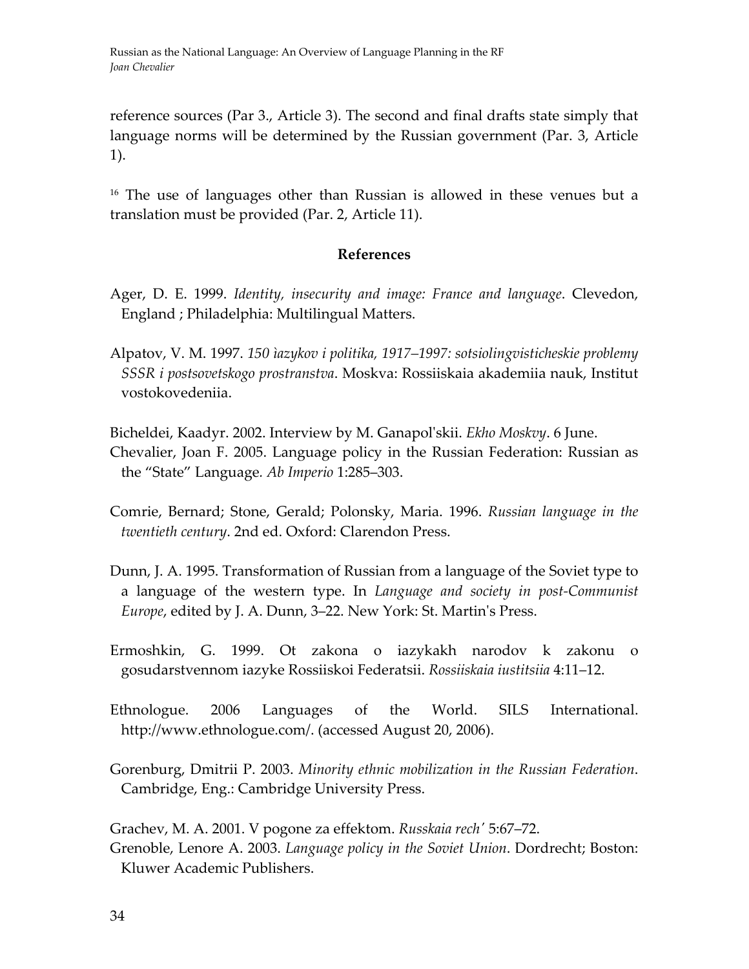reference sources (Par 3., Article 3). The second and final drafts state simply that language norms will be determined by the Russian government (Par. 3, Article 1).

<sup>16</sup> The use of languages other than Russian is allowed in these venues but a translation must be provided (Par. 2, Article 11).

#### **References**

- Ager, D. E. 1999. *Identity, insecurity and image: France and language*. Clevedon, England ; Philadelphia: Multilingual Matters.
- Alpatov, V. M. 1997. *150 ìazykov i politika, 1917–1997: sotsiolingvisticheskie problemy SSSR i postsovetskogo prostranstva*. Moskva: Rossiiskaia akademiia nauk, Institut vostokovedeniia.
- Bicheldei, Kaadyr. 2002. Interview by M. Ganapolʹskii. *Ekho Moskvy*. 6 June. Chevalier, Joan F. 2005. Language policy in the Russian Federation: Russian as the "State" Language*. Ab Imperio* 1:285–303.
- Comrie, Bernard; Stone, Gerald; Polonsky, Maria. 1996. *Russian language in the twentieth century*. 2nd ed. Oxford: Clarendon Press.
- Dunn, J. A. 1995. Transformation of Russian from a language of the Soviet type to a language of the western type. In *Language and society in post‐Communist Europe*, edited by J. A. Dunn, 3–22. New York: St. Martinʹs Press.
- Ermoshkin, G. 1999. Ot zakona o iazykakh narodov k zakonu o gosudarstvennom iazyke Rossiiskoi Federatsii. *Rossiiskaia iustitsiia* 4:11–12.
- Ethnologue. 2006 Languages of the World. SILS International. http://www.ethnologue.com/. (accessed August 20, 2006).
- Gorenburg, Dmitrii P. 2003. *Minority ethnic mobilization in the Russian Federation*. Cambridge, Eng.: Cambridge University Press.

Grachev, M. A. 2001. V pogone za effektom. *Russkaia rechʹ* 5:67–72. Grenoble, Lenore A. 2003. *Language policy in the Soviet Union*. Dordrecht; Boston: Kluwer Academic Publishers.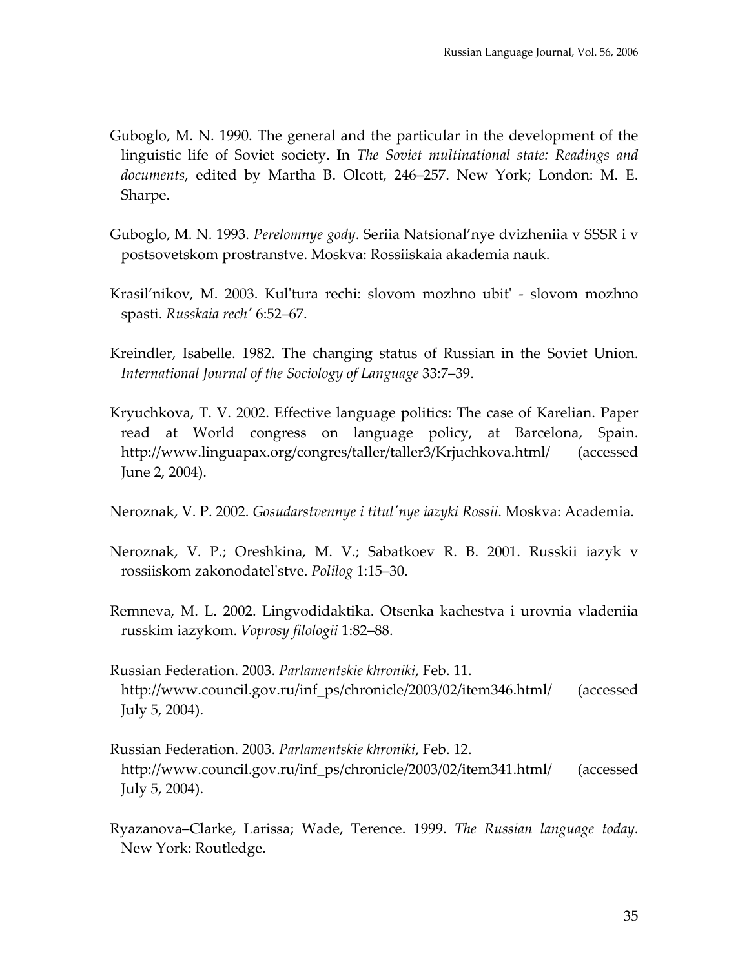- Guboglo, M. N. 1990. The general and the particular in the development of the linguistic life of Soviet society. In *The Soviet multinational state: Readings and documents*, edited by Martha B. Olcott, 246–257. New York; London: M. E. Sharpe.
- Guboglo, M. N. 1993. *Perelomnye gody*. Seriia Natsional'nye dvizheniia v SSSR i v postsovetskom prostranstve. Moskva: Rossiiskaia akademia nauk.
- Krasil'nikov, M. 2003. Kul'tura rechi: slovom mozhno ubit' slovom mozhno spasti. *Russkaia rechʹ* 6:52–67.
- Kreindler, Isabelle. 1982. The changing status of Russian in the Soviet Union. *International Journal of the Sociology of Language* 33:7–39.
- Kryuchkova, T. V. 2002. Effective language politics: The case of Karelian. Paper read at World congress on language policy, at Barcelona, Spain. <http://www.linguapax.org/congres/taller/taller3/Krjuchkova.html>/ (accessed June 2, 2004).
- Neroznak, V. P. 2002. *Gosudarstvennye i titulʹnye iazyki Rossii*. Moskva: Academia.
- Neroznak, V. P.; Oreshkina, M. V.; Sabatkoev R. B. 2001. Russkii iazyk v rossiiskom zakonodatelʹstve. *Polilog* 1:15–30.
- Remneva, M. L. 2002. Lingvodidaktika. Otsenka kachestva i urovnia vladeniia russkim iazykom. *Voprosy filologii* 1:82–88.
- Russian Federation. 2003. *Parlamentskie khroniki*, Feb. 11. [http://www.council.gov.ru/inf\\_ps/chronicle/2003/02/item346.html](http://www.council.gov.ru/inf_ps/chronicle/2003/02/item346.html)/ (accessed July 5, 2004).
- Russian Federation. 2003. *Parlamentskie khroniki*, Feb. 12. [http://www.council.gov.ru/inf\\_ps/chronicle/2003/02/item341.html](http://www.council.gov.ru/inf_ps/chronicle/2003/02/item341.html)/ (accessed July 5, 2004).
- Ryazanova–Clarke, Larissa; Wade, Terence. 1999. *The Russian language today*. New York: Routledge.